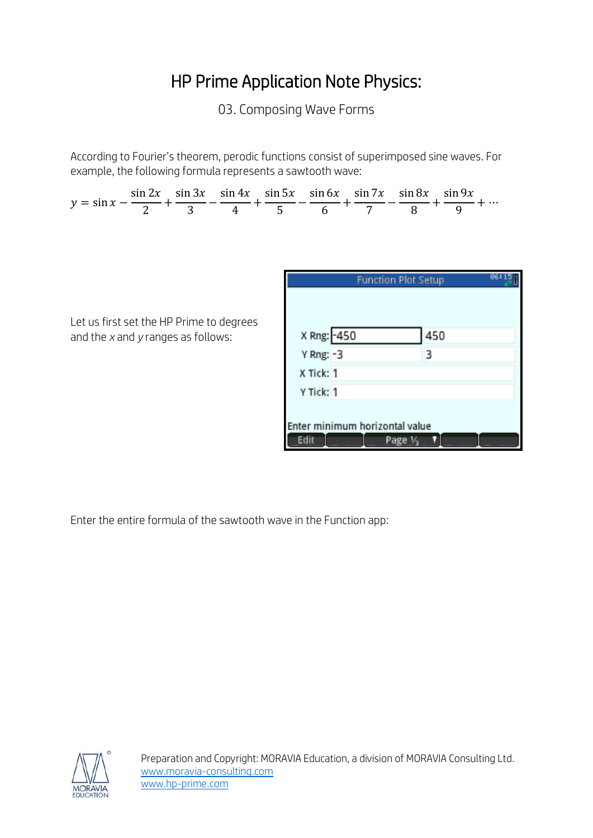## HP Prime Application Note Physics:

03. Composing Wave Forms

According to Fourier's theorem, perodic functions consist of superimposed sine waves. For example, the following formula represents a sawtooth wave:



Enter the entire formula of the sawtooth wave in the Function app:

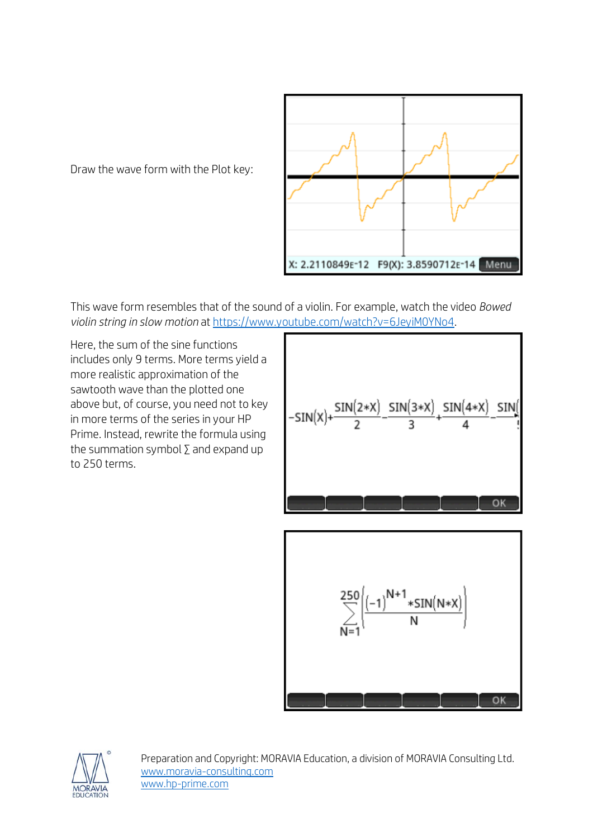Draw the wave form with the Plot key:



This wave form resembles that of the sound of a violin. For example, watch the video *Bowed violin string in slow motion* at [https://www.youtube.com/watch?v=6JeyiM0YNo4.](https://www.youtube.com/watch?v=6JeyiM0YNo4)

Here, the sum of the sine functions includes only 9 terms. More terms yield a more realistic approximation of the sawtooth wave than the plotted one above but, of course, you need not to key in more terms of the series in your HP Prime. Instead, rewrite the formula using the summation symbol  $\Sigma$  and expand up to 250 terms.

$$
-SIN(X) + \frac{SIN(2*X)}{2} - \frac{SIN(3*X)}{3} + \frac{SIN(4*X)}{4} - \frac{SIN(4*X)}{1}
$$



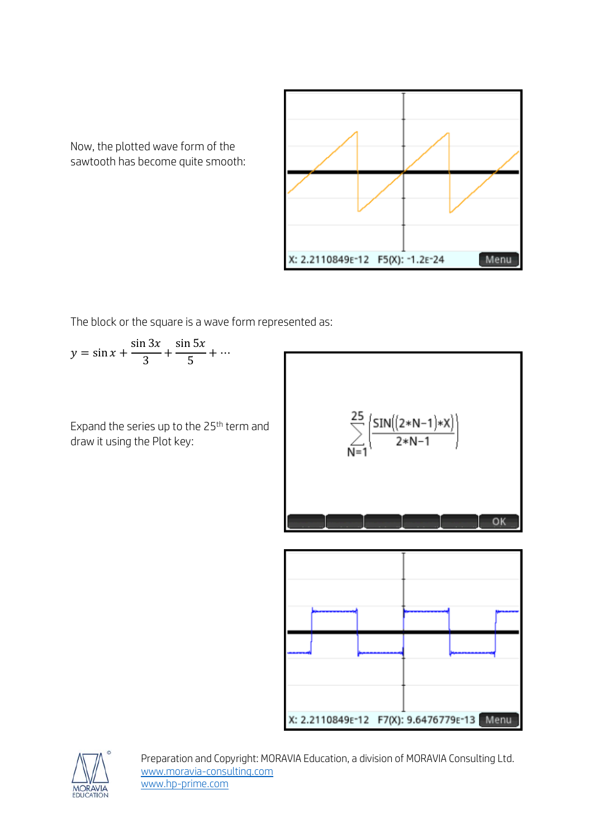

Now, the plotted wave form of the sawtooth has become quite smooth:

The block or the square is a wave form represented as:

$$
y = \sin x + \frac{\sin 3x}{3} + \frac{\sin 5x}{5} + \dots
$$

Expand the series up to the 25th term and draw it using the Plot key:

$$
\sum_{N=1}^{25} \left( \frac{SIN((2*N-1)*X)}{2*N-1} \right)
$$
OK  
OK  
X: 2.2110849E-12 F7(X): 9.6476779E-13 **Menu**